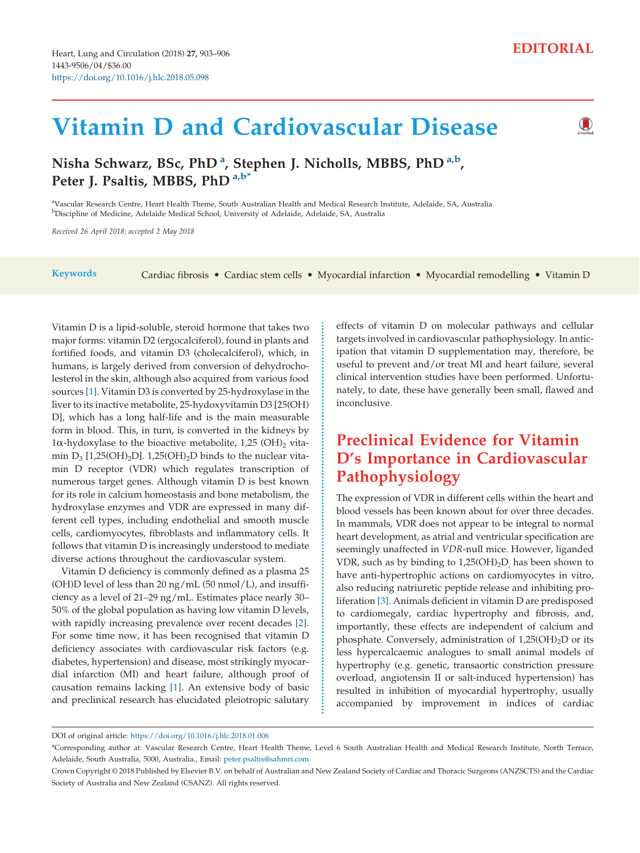# Vitamin D and Cardiovascular Disease

# $\bigcirc$

## Nisha Schwarz, BSc, PhD <sup>a</sup>, Stephen J. Nicholls, MBBS, PhD <sup>a,b</sup>, Peter J. Psaltis, MBBS, PhD<sup>a,b\*</sup>

a Vascular Research Centre, Heart Health Theme, South Australian Health and Medical Research Institute, Adelaide, SA, Australia <sup>b</sup>Discipline of Medicine, Adelaide Medical School, University of Adelaide, Adelaide, SA, Australia

Received 26 April 2018; accepted 2 May 2018

Keywords Cardiac fibrosis • Cardiac stem cells • Myocardial infarction • Myocardial remodelling • Vitamin D

Vitamin D is a lipid-soluble, steroid hormone that takes two major forms: vitamin D2 (ergocalciferol), found in plants and fortified foods, and vitamin D3 (cholecalciferol), which, in humans, is largely derived from conversion of dehydrocholesterol in the skin, although also acquired from various food sources [\[1\]](#page-2-0). Vitamin D3 is converted by 25-hydroxylase in the liver to its inactive metabolite, 25-hydoxyvitamin D3 [25(OH) D], which has a long half-life and is the main measurable form in blood. This, in turn, is converted in the kidneys by  $1\alpha$ -hydoxylase to the bioactive metabolite, 1,25 (OH)<sub>2</sub> vitamin  $D_3$  [1,25(OH)<sub>2</sub>D]. 1,25(OH)<sub>2</sub>D binds to the nuclear vitamin D receptor (VDR) which regulates transcription of numerous target genes. Although vitamin D is best known for its role in calcium homeostasis and bone metabolism, the hydroxylase enzymes and VDR are expressed in many different cell types, including endothelial and smooth muscle cells, cardiomyocytes, fibroblasts and inflammatory cells. It follows that vitamin D is increasingly understood to mediate diverse actions throughout the cardiovascular system.

Vitamin D deficiency is commonly defined as a plasma 25 (OH)D level of less than 20  $\frac{mg}{mL}$  (50 nmol/L), and insufficiency as a level of 21–29 ng/mL. Estimates place nearly 30– 50% of the global population as having low vitamin D levels, with rapidly increasing prevalence over recent decades [\[2\]](#page-2-0). For some time now, it has been recognised that vitamin D deficiency associates with cardiovascular risk factors (e.g. diabetes, hypertension) and disease, most strikingly myocardial infarction (MI) and heart failure, although proof of causation remains lacking [\[1\].](#page-2-0) An extensive body of basic and preclinical research has elucidated pleiotropic salutary effects of vitamin D on molecular pathways and cellular targets involved in cardiovascular pathophysiology. In anticipation that vitamin D supplementation may, therefore, be useful to prevent and/or treat MI and heart failure, several clinical intervention studies have been performed. Unfortunately, to date, these have generally been small, flawed and inconclusive.

# Preclinical Evidence for Vitamin D's Importance in Cardiovascular Pathophysiology

The expression of VDR in different cells within the heart and blood vessels has been known about for over three decades. In mammals, VDR does not appear to be integral to normal heart development, as atrial and ventricular specification are seemingly unaffected in VDR-null mice. However, liganded VDR, such as by binding to  $1,25(OH)_2D$  has been shown to have anti-hypertrophic actions on cardiomyocytes in vitro, also reducing natriuretic peptide release and inhibiting proliferation [\[3\].](#page-2-0) Animals deficient in vitamin D are predisposed to cardiomegaly, cardiac hypertrophy and fibrosis, and, importantly, these effects are independent of calcium and phosphate. Conversely, administration of  $1,25(OH)_2D$  or its less hypercalcaemic analogues to small animal models of hypertrophy (e.g. genetic, transaortic constriction pressure overload, angiotensin II or salt-induced hypertension) has resulted in inhibition of myocardial hypertrophy, usually accompanied by improvement in indices of cardiac

DOI of original article: <https://doi.org/10.1016/j.hlc.2018.01.006>

<sup>\*</sup>Corresponding author at: Vascular Research Centre, Heart Health Theme, Level 6 South Australian Health and Medical Research Institute, North Terrace, Adelaide, South Australia, 5000, Australia., Email: [peter.psaltis@sahmri.com](mailto:peter.psaltis@sahmri.com)

Crown Copyright © 2018 Published by Elsevier B.V. on behalf of Australian and New Zealand Society of Cardiac and Thoracic Surgeons (ANZSCTS) and the Cardiac Society of Australia and New Zealand (CSANZ). All rights reserved.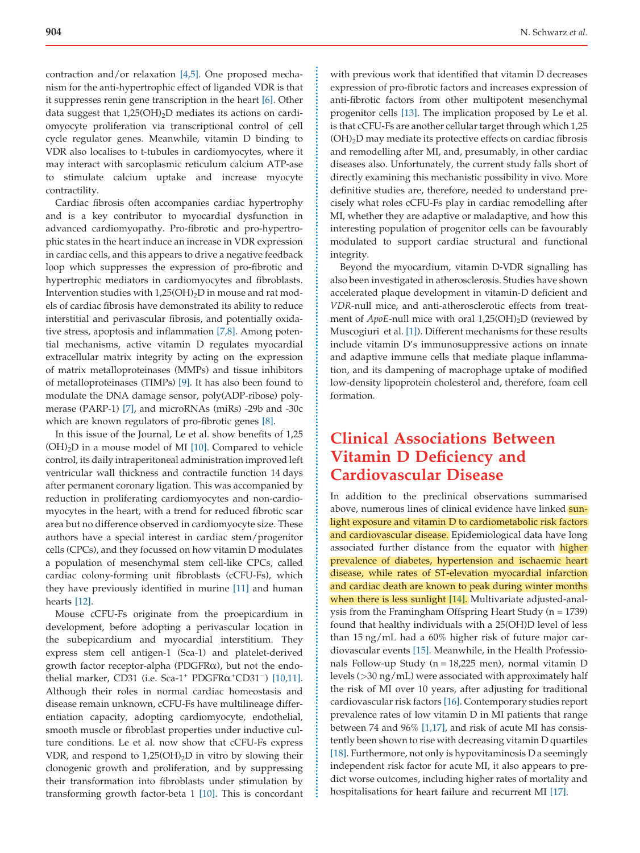contraction and/or relaxation [\[4,5\].](#page-2-0) One proposed mechanism for the anti-hypertrophic effect of liganded VDR is that it suppresses renin gene transcription in the heart [\[6\]](#page-2-0). Other data suggest that  $1,25(OH)_{2}D$  mediates its actions on cardiomyocyte proliferation via transcriptional control of cell cycle regulator genes. Meanwhile, vitamin D binding to VDR also localises to t-tubules in cardiomyocytes, where it may interact with sarcoplasmic reticulum calcium ATP-ase to stimulate calcium uptake and increase myocyte contractility.

Cardiac fibrosis often accompanies cardiac hypertrophy and is a key contributor to myocardial dysfunction in advanced cardiomyopathy. Pro-fibrotic and pro-hypertrophic states in the heart induce an increase in VDR expression in cardiac cells, and this appears to drive a negative feedback loop which suppresses the expression of pro-fibrotic and hypertrophic mediators in cardiomyocytes and fibroblasts. Intervention studies with  $1,25(OH)_2D$  in mouse and rat models of cardiac fibrosis have demonstrated its ability to reduce interstitial and perivascular fibrosis, and potentially oxidative stress, apoptosis and inflammation [\[7,8\]](#page-2-0). Among potential mechanisms, active vitamin D regulates myocardial extracellular matrix integrity by acting on the expression of matrix metalloproteinases (MMPs) and tissue inhibitors of metalloproteinases (TIMPs) [\[9\].](#page-3-0) It has also been found to modulate the DNA damage sensor, poly(ADP-ribose) polymerase (PARP-1) [\[7\],](#page-2-0) and microRNAs (miRs) -29b and -30c which are known regulators of pro-fibrotic genes [\[8\]](#page-2-0).

In this issue of the Journal, Le et al. show benefits of 1,25  $(OH)<sub>2</sub>D$  in a mouse model of MI [\[10\].](#page-3-0) Compared to vehicle control, its daily intraperitoneal administration improved left ventricular wall thickness and contractile function 14 days after permanent coronary ligation. This was accompanied by reduction in proliferating cardiomyocytes and non-cardiomyocytes in the heart, with a trend for reduced fibrotic scar area but no difference observed in cardiomyocyte size. These authors have a special interest in cardiac stem/progenitor cells (CPCs), and they focussed on how vitamin D modulates a population of mesenchymal stem cell-like CPCs, called cardiac colony-forming unit fibroblasts (cCFU-Fs), which they have previously identified in murine [\[11\]](#page-3-0) and human hearts [\[12\].](#page-3-0)

Mouse cCFU-Fs originate from the proepicardium in development, before adopting a perivascular location in the subepicardium and myocardial interstitium. They express stem cell antigen-1 (Sca-1) and platelet-derived growth factor receptor-alpha (PDGFR $\alpha$ ), but not the endothelial marker, CD31 (i.e.  $Sca-1$ <sup>+</sup> PDGFR $\alpha$ <sup>+</sup>CD31<sup>-</sup>) [\[10,11\].](#page-3-0) Although their roles in normal cardiac homeostasis and disease remain unknown, cCFU-Fs have multilineage differentiation capacity, adopting cardiomyocyte, endothelial, smooth muscle or fibroblast properties under inductive culture conditions. Le et al. now show that cCFU-Fs express VDR, and respond to  $1,25(OH)_2D$  in vitro by slowing their clonogenic growth and proliferation, and by suppressing their transformation into fibroblasts under stimulation by transforming growth factor-beta 1 [\[10\]](#page-3-0). This is concordant with previous work that identified that vitamin D decreases expression of pro-fibrotic factors and increases expression of anti-fibrotic factors from other multipotent mesenchymal progenitor cells [\[13\]](#page-3-0). The implication proposed by Le et al. is that cCFU-Fs are another cellular target through which 1,25 (OH)2D may mediate its protective effects on cardiac fibrosis and remodelling after MI, and, presumably, in other cardiac diseases also. Unfortunately, the current study falls short of directly examining this mechanistic possibility in vivo. More definitive studies are, therefore, needed to understand precisely what roles cCFU-Fs play in cardiac remodelling after MI, whether they are adaptive or maladaptive, and how this interesting population of progenitor cells can be favourably modulated to support cardiac structural and functional integrity.

Beyond the myocardium, vitamin D-VDR signalling has also been investigated in atherosclerosis. Studies have shown accelerated plaque development in vitamin-D deficient and VDR-null mice, and anti-atherosclerotic effects from treatment of ApoE-null mice with oral 1,25(OH)<sub>2</sub>D (reviewed by Muscogiuri et al. [\[1\]](#page-2-0)). Different mechanisms for these results include vitamin D's immunosuppressive actions on innate and adaptive immune cells that mediate plaque inflammation, and its dampening of macrophage uptake of modified low-density lipoprotein cholesterol and, therefore, foam cell formation.

## Clinical Associations Between Vitamin D Deficiency and Cardiovascular Disease

In addition to the preclinical observations summarised above, numerous lines of clinical evidence have linked sunlight exposure and vitamin D to cardiometabolic risk factors and cardiovascular disease. Epidemiological data have long associated further distance from the equator with higher prevalence of diabetes, hypertension and ischaemic heart disease, while rates of ST-elevation myocardial infarction and cardiac death are known to peak during winter months when there is less sunlight [\[14\].](#page-3-0) Multivariate adjusted-analysis from the Framingham Offspring Heart Study (n = 1739) found that healthy individuals with a 25(OH)D level of less than 15 ng/mL had a 60% higher risk of future major cardiovascular events [\[15\]](#page-3-0). Meanwhile, in the Health Professionals Follow-up Study (n = 18,225 men), normal vitamin D levels (>30 ng/mL) were associated with approximately half the risk of MI over 10 years, after adjusting for traditional cardiovascular risk factors [\[16\]](#page-3-0). Contemporary studies report prevalence rates of low vitamin D in MI patients that range between 74 and 96% [\[1,17\]](#page-2-0), and risk of acute MI has consistently been shown to rise with decreasing vitamin D quartiles [\[18\].](#page-3-0) Furthermore, not only is hypovitaminosis D a seemingly independent risk factor for acute MI, it also appears to predict worse outcomes, including higher rates of mortality and hospitalisations for heart failure and recurrent MI [\[17\]](#page-3-0).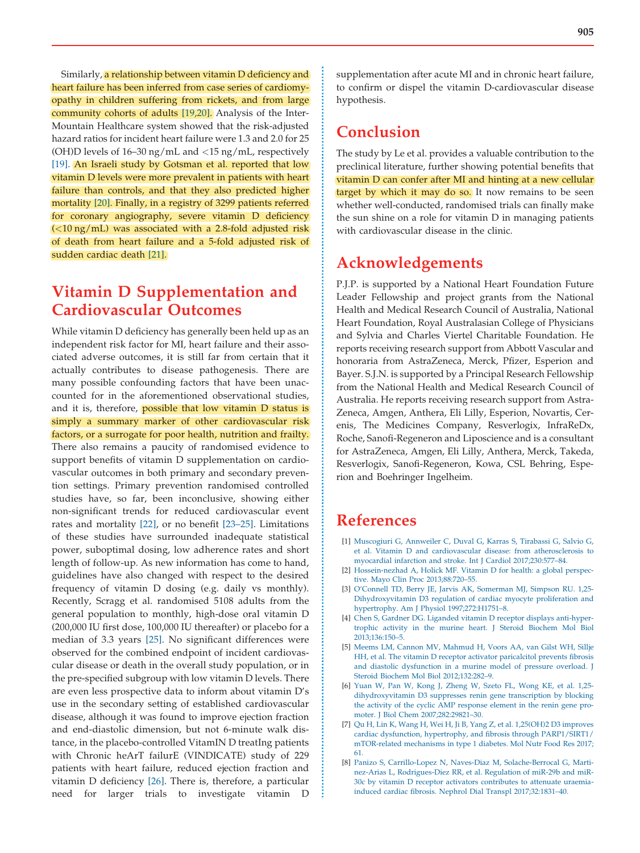<span id="page-2-0"></span>Similarly, a relationship between vitamin D deficiency and heart failure has been inferred from case series of cardiomyopathy in children suffering from rickets, and from large community cohorts of adults [\[19,20\]](#page-3-0). Analysis of the Inter-Mountain Healthcare system showed that the risk-adjusted hazard ratios for incident heart failure were 1.3 and 2.0 for 25 (OH)D levels of 16–30 ng/mL and <15 ng/mL, respectively [\[19\]](#page-3-0). An Israeli study by Gotsman et al. reported that low vitamin D levels were more prevalent in patients with heart failure than controls, and that they also predicted higher mortality [\[20\].](#page-3-0) Finally, in a registry of 3299 patients referred for coronary angiography, severe vitamin D deficiency  $\left($  <10 ng/mL) was associated with a 2.8-fold adjusted risk of death from heart failure and a 5-fold adjusted risk of sudden cardiac death [\[21\].](#page-3-0)

## Vitamin D Supplementation and Cardiovascular Outcomes

While vitamin D deficiency has generally been held up as an independent risk factor for MI, heart failure and their associated adverse outcomes, it is still far from certain that it actually contributes to disease pathogenesis. There are many possible confounding factors that have been unaccounted for in the aforementioned observational studies, and it is, therefore, possible that low vitamin D status is simply a summary marker of other cardiovascular risk factors, or a surrogate for poor health, nutrition and frailty. There also remains a paucity of randomised evidence to support benefits of vitamin D supplementation on cardiovascular outcomes in both primary and secondary prevention settings. Primary prevention randomised controlled studies have, so far, been inconclusive, showing either non-significant trends for reduced cardiovascular event rates and mortality [\[22\]](#page-3-0), or no benefit [\[23–25\]](#page-3-0). Limitations of these studies have surrounded inadequate statistical power, suboptimal dosing, low adherence rates and short length of follow-up. As new information has come to hand, guidelines have also changed with respect to the desired frequency of vitamin D dosing (e.g. daily vs monthly). Recently, Scragg et al. randomised 5108 adults from the general population to monthly, high-dose oral vitamin D (200,000 IU first dose, 100,000 IU thereafter) or placebo for a median of 3.3 years [\[25\].](#page-3-0) No significant differences were observed for the combined endpoint of incident cardiovascular disease or death in the overall study population, or in the pre-specified subgroup with low vitamin D levels. There are even less prospective data to inform about vitamin D's use in the secondary setting of established cardiovascular disease, although it was found to improve ejection fraction and end-diastolic dimension, but not 6-minute walk distance, in the placebo-controlled VitamIN D treatIng patients with Chronic heArT failurE (VINDICATE) study of 229 patients with heart failure, reduced ejection fraction and vitamin D deficiency [\[26\].](#page-3-0) There is, therefore, a particular need for larger trials to investigate vitamin D

supplementation after acute MI and in chronic heart failure, to confirm or dispel the vitamin D-cardiovascular disease hypothesis.

#### Conclusion

The study by Le et al. provides a valuable contribution to the preclinical literature, further showing potential benefits that vitamin D can confer after MI and hinting at a new cellular target by which it may do so. It now remains to be seen whether well-conducted, randomised trials can finally make the sun shine on a role for vitamin D in managing patients with cardiovascular disease in the clinic.

### Acknowledgements

P.J.P. is supported by a National Heart Foundation Future Leader Fellowship and project grants from the National Health and Medical Research Council of Australia, National Heart Foundation, Royal Australasian College of Physicians and Sylvia and Charles Viertel Charitable Foundation. He reports receiving research support from Abbott Vascular and honoraria from AstraZeneca, Merck, Pfizer, Esperion and Bayer. S.J.N. is supported by a Principal Research Fellowship from the National Health and Medical Research Council of Australia. He reports receiving research support from Astra-Zeneca, Amgen, Anthera, Eli Lilly, Esperion, Novartis, Cerenis, The Medicines Company, Resverlogix, InfraReDx, Roche, Sanofi-Regeneron and Liposcience and is a consultant for AstraZeneca, Amgen, Eli Lilly, Anthera, Merck, Takeda, Resverlogix, Sanofi-Regeneron, Kowa, CSL Behring, Esperion and Boehringer Ingelheim.

#### References

÷

- [1] [Muscogiuri](http://refhub.elsevier.com/S1443-9506(18)30586-9/sbref0005) G, Annweiler C, Duval G, Karras S, Tirabassi G, Salvio G, et al. Vitamin D and cardiovascular disease: from [atherosclerosis](http://refhub.elsevier.com/S1443-9506(18)30586-9/sbref0005) to myocardial infarction and stroke. Int J Cardiol [2017;230:577–84.](http://refhub.elsevier.com/S1443-9506(18)30586-9/sbref0005)
- [2] [Hossein-nezhad](http://refhub.elsevier.com/S1443-9506(18)30586-9/sbref0010) A, Holick MF. Vitamin D for health: a global perspective. Mayo Clin Proc [2013;88:720–55.](http://refhub.elsevier.com/S1443-9506(18)30586-9/sbref0010)
- [3] O'Connell TD, Berry JE, Jarvis AK, [Somerman](http://refhub.elsevier.com/S1443-9506(18)30586-9/sbref0015) MJ, Simpson RU. 1,25- [Dihydroxyvitamin](http://refhub.elsevier.com/S1443-9506(18)30586-9/sbref0015) D3 regulation of cardiac myocyte proliferation and hypertrophy. Am J Physiol [1997;272:H1751–8.](http://refhub.elsevier.com/S1443-9506(18)30586-9/sbref0015)
- [4] Chen S, Gardner DG. Liganded vitamin D receptor displays [anti-hyper](http://refhub.elsevier.com/S1443-9506(18)30586-9/sbref0020)trophic activity in the murine heart. J Steroid [Biochem](http://refhub.elsevier.com/S1443-9506(18)30586-9/sbref0020) Mol Biol [2013;136:150–5](http://refhub.elsevier.com/S1443-9506(18)30586-9/sbref0020).
- [5] Meems LM, Cannon MV, [Mahmud](http://refhub.elsevier.com/S1443-9506(18)30586-9/sbref0025) H, Voors AA, van Gilst WH, Sillje HH, et al. The vitamin D receptor activator [paricalcitol](http://refhub.elsevier.com/S1443-9506(18)30586-9/sbref0025) prevents fibrosis and diastolic [dysfunction](http://refhub.elsevier.com/S1443-9506(18)30586-9/sbref0025) in a murine model of pressure overload. J Steroid Biochem Mol Biol [2012;132:282–9](http://refhub.elsevier.com/S1443-9506(18)30586-9/sbref0025).
- [6] Yuan W, Pan W, Kong J, [Zheng](http://refhub.elsevier.com/S1443-9506(18)30586-9/sbref0030) W, Szeto FL, Wong KE, et al. 1,25 [dihydroxyvitamin](http://refhub.elsevier.com/S1443-9506(18)30586-9/sbref0030) D3 suppresses renin gene transcription by blocking the activity of the cyclic AMP [response](http://refhub.elsevier.com/S1443-9506(18)30586-9/sbref0030) element in the renin gene promoter. J Biol Chem [2007;282:29821–30](http://refhub.elsevier.com/S1443-9506(18)30586-9/sbref0030).
- [7] Qu H, Lin K, Wang H, Wei H, Ji B, Yang Z, et al. [1,25\(OH\)2](http://refhub.elsevier.com/S1443-9506(18)30586-9/sbref0035) D3 improves cardiac dysfunction, hypertrophy, and fibrosis through [PARP1/SIRT1/](http://refhub.elsevier.com/S1443-9506(18)30586-9/sbref0035) [mTOR-related](http://refhub.elsevier.com/S1443-9506(18)30586-9/sbref0035) mechanisms in type 1 diabetes. Mol Nutr Food Res 2017; [61.](http://refhub.elsevier.com/S1443-9506(18)30586-9/sbref0035)
- [8] Panizo S, Carrillo-Lopez N, Naves-Diaz M, [Solache-Berrocal](http://refhub.elsevier.com/S1443-9506(18)30586-9/sbref0040) G, Martinez-Arias L, [Rodrigues-Diez](http://refhub.elsevier.com/S1443-9506(18)30586-9/sbref0040) RR, et al. Regulation of miR-29b and miR-30c by vitamin D receptor activators [contributes](http://refhub.elsevier.com/S1443-9506(18)30586-9/sbref0040) to attenuate uraemiainduced cardiac fibrosis. Nephrol Dial Transpl [2017;32:1831–40.](http://refhub.elsevier.com/S1443-9506(18)30586-9/sbref0040)